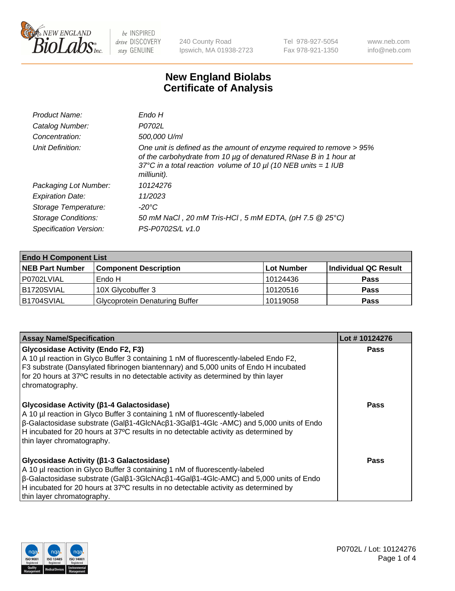

240 County Road Ipswich, MA 01938-2723 Tel 978-927-5054 Fax 978-921-1350 www.neb.com info@neb.com

## **New England Biolabs Certificate of Analysis**

| Product Name:              | Endo H                                                                                                                                                                                                                         |
|----------------------------|--------------------------------------------------------------------------------------------------------------------------------------------------------------------------------------------------------------------------------|
| Catalog Number:            | P0702L                                                                                                                                                                                                                         |
| Concentration:             | 500,000 U/ml                                                                                                                                                                                                                   |
| Unit Definition:           | One unit is defined as the amount of enzyme required to remove > 95%<br>of the carbohydrate from 10 µg of denatured RNase B in 1 hour at<br>37°C in a total reaction volume of 10 $\mu$ I (10 NEB units = 1 IUB<br>milliunit). |
| Packaging Lot Number:      | 10124276                                                                                                                                                                                                                       |
| <b>Expiration Date:</b>    | 11/2023                                                                                                                                                                                                                        |
| Storage Temperature:       | -20°C                                                                                                                                                                                                                          |
| <b>Storage Conditions:</b> | 50 mM NaCl, 20 mM Tris-HCl, 5 mM EDTA, (pH 7.5 @ 25°C)                                                                                                                                                                         |
| Specification Version:     | PS-P0702S/L v1.0                                                                                                                                                                                                               |

| <b>Endo H Component List</b> |                                       |             |                      |  |  |
|------------------------------|---------------------------------------|-------------|----------------------|--|--|
| <b>NEB Part Number</b>       | <b>Component Description</b>          | ∣Lot Number | Individual QC Result |  |  |
| P0702LVIAL                   | Endo H                                | 10124436    | <b>Pass</b>          |  |  |
| <b>B1720SVIAL</b>            | 10X Glycobuffer 3                     | 10120516    | <b>Pass</b>          |  |  |
| B1704SVIAL                   | <b>Glycoprotein Denaturing Buffer</b> | 10119058    | <b>Pass</b>          |  |  |

| <b>Assay Name/Specification</b>                                                                                                                                                                                                                                                                                                                                             | Lot #10124276 |
|-----------------------------------------------------------------------------------------------------------------------------------------------------------------------------------------------------------------------------------------------------------------------------------------------------------------------------------------------------------------------------|---------------|
| <b>Glycosidase Activity (Endo F2, F3)</b><br>A 10 µl reaction in Glyco Buffer 3 containing 1 nM of fluorescently-labeled Endo F2,<br>F3 substrate (Dansylated fibrinogen biantennary) and 5,000 units of Endo H incubated<br>for 20 hours at 37°C results in no detectable activity as determined by thin layer<br>chromatography.                                          | <b>Pass</b>   |
| <b>Glycosidase Activity (β1-4 Galactosidase)</b><br>A 10 µl reaction in Glyco Buffer 3 containing 1 nM of fluorescently-labeled<br>$\beta$ -Galactosidase substrate (Gal $\beta$ 1-4GlcNAc $\beta$ 1-3Gal $\beta$ 1-4Glc -AMC) and 5,000 units of Endo<br>H incubated for 20 hours at 37°C results in no detectable activity as determined by<br>thin layer chromatography. | Pass          |
| Glycosidase Activity (β1-3 Galactosidase)<br>A 10 µl reaction in Glyco Buffer 3 containing 1 nM of fluorescently-labeled<br>$\beta$ -Galactosidase substrate (Gal $\beta$ 1-3GlcNAc $\beta$ 1-4Gal $\beta$ 1-4Glc-AMC) and 5,000 units of Endo<br>H incubated for 20 hours at 37°C results in no detectable activity as determined by<br>thin layer chromatography.         | <b>Pass</b>   |

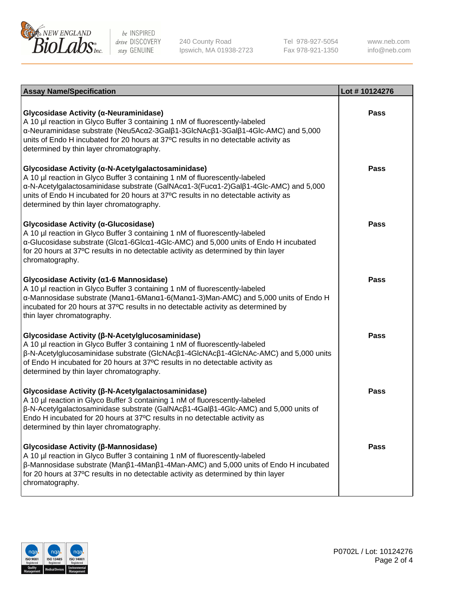

240 County Road Ipswich, MA 01938-2723 Tel 978-927-5054 Fax 978-921-1350

www.neb.com info@neb.com

| <b>Assay Name/Specification</b>                                                                                                                                                                                                                                                                                                                                           | Lot #10124276 |
|---------------------------------------------------------------------------------------------------------------------------------------------------------------------------------------------------------------------------------------------------------------------------------------------------------------------------------------------------------------------------|---------------|
| Glycosidase Activity (α-Neuraminidase)<br>A 10 µl reaction in Glyco Buffer 3 containing 1 nM of fluorescently-labeled<br>α-Neuraminidase substrate (Neu5Acα2-3Galβ1-3GlcNAcβ1-3Galβ1-4Glc-AMC) and 5,000<br>units of Endo H incubated for 20 hours at 37°C results in no detectable activity as<br>determined by thin layer chromatography.                               | Pass          |
| Glycosidase Activity (α-N-Acetylgalactosaminidase)<br>A 10 µl reaction in Glyco Buffer 3 containing 1 nM of fluorescently-labeled<br>α-N-Acetylgalactosaminidase substrate (GalNAcα1-3(Fucα1-2)Galβ1-4Glc-AMC) and 5,000<br>units of Endo H incubated for 20 hours at 37°C results in no detectable activity as<br>determined by thin layer chromatography.               | <b>Pass</b>   |
| Glycosidase Activity (α-Glucosidase)<br>A 10 µl reaction in Glyco Buffer 3 containing 1 nM of fluorescently-labeled<br>α-Glucosidase substrate (Glcα1-6Glcα1-4Glc-AMC) and 5,000 units of Endo H incubated<br>for 20 hours at 37°C results in no detectable activity as determined by thin layer<br>chromatography.                                                       | Pass          |
| Glycosidase Activity (α1-6 Mannosidase)<br>A 10 µl reaction in Glyco Buffer 3 containing 1 nM of fluorescently-labeled<br>α-Mannosidase substrate (Μanα1-6Μanα1-6(Μanα1-3)Man-AMC) and 5,000 units of Endo H<br>incubated for 20 hours at 37°C results in no detectable activity as determined by<br>thin layer chromatography.                                           | <b>Pass</b>   |
| Glycosidase Activity (β-N-Acetylglucosaminidase)<br>A 10 µl reaction in Glyco Buffer 3 containing 1 nM of fluorescently-labeled<br>β-N-Acetylglucosaminidase substrate (GlcNAcβ1-4GlcNAcβ1-4GlcNAc-AMC) and 5,000 units<br>of Endo H incubated for 20 hours at 37°C results in no detectable activity as<br>determined by thin layer chromatography.                      | <b>Pass</b>   |
| Glycosidase Activity (β-N-Acetylgalactosaminidase)<br>A 10 µl reaction in Glyco Buffer 3 containing 1 nM of fluorescently-labeled<br>$\beta$ -N-Acetylgalactosaminidase substrate (GalNAc $\beta$ 1-4Gal $\beta$ 1-4Glc-AMC) and 5,000 units of<br>Endo H incubated for 20 hours at 37°C results in no detectable activity as<br>determined by thin layer chromatography. | Pass          |
| Glycosidase Activity (β-Mannosidase)<br>A 10 µl reaction in Glyco Buffer 3 containing 1 nM of fluorescently-labeled<br>$\beta$ -Mannosidase substrate (Man $\beta$ 1-4Man $\beta$ 1-4Man-AMC) and 5,000 units of Endo H incubated<br>for 20 hours at 37°C results in no detectable activity as determined by thin layer<br>chromatography.                                | <b>Pass</b>   |

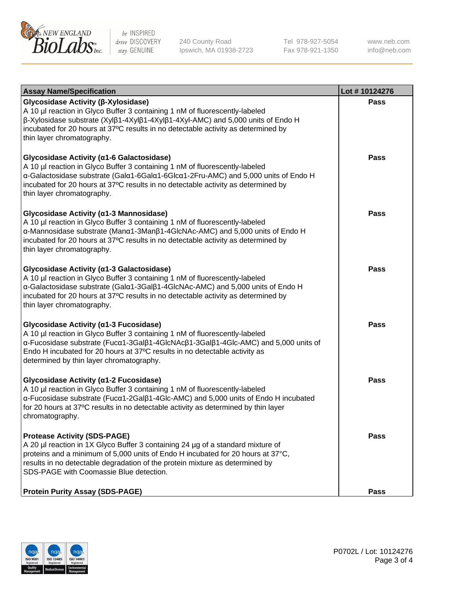

240 County Road Ipswich, MA 01938-2723 Tel 978-927-5054 Fax 978-921-1350 www.neb.com info@neb.com

| <b>Assay Name/Specification</b>                                                                                                                                                                                                                                                                                                                         | Lot #10124276 |
|---------------------------------------------------------------------------------------------------------------------------------------------------------------------------------------------------------------------------------------------------------------------------------------------------------------------------------------------------------|---------------|
| Glycosidase Activity (β-Xylosidase)<br>A 10 µl reaction in Glyco Buffer 3 containing 1 nM of fluorescently-labeled<br>$\beta$ -Xylosidase substrate (Xyl $\beta$ 1-4Xyl $\beta$ 1-4Xyl $\beta$ 1-4Xyl-AMC) and 5,000 units of Endo H<br>incubated for 20 hours at 37°C results in no detectable activity as determined by<br>thin layer chromatography. | <b>Pass</b>   |
| Glycosidase Activity (α1-6 Galactosidase)<br>A 10 µl reaction in Glyco Buffer 3 containing 1 nM of fluorescently-labeled<br>α-Galactosidase substrate (Galα1-6Galα1-6Glcα1-2Fru-AMC) and 5,000 units of Endo H<br>incubated for 20 hours at 37°C results in no detectable activity as determined by<br>thin layer chromatography.                       | Pass          |
| Glycosidase Activity (α1-3 Mannosidase)<br>A 10 µl reaction in Glyco Buffer 3 containing 1 nM of fluorescently-labeled<br>α-Mannosidase substrate (Manα1-3Manβ1-4GlcNAc-AMC) and 5,000 units of Endo H<br>incubated for 20 hours at 37°C results in no detectable activity as determined by<br>thin layer chromatography.                               | <b>Pass</b>   |
| Glycosidase Activity (a1-3 Galactosidase)<br>A 10 µl reaction in Glyco Buffer 3 containing 1 nM of fluorescently-labeled<br>α-Galactosidase substrate (Galα1-3Galβ1-4GlcNAc-AMC) and 5,000 units of Endo H<br>incubated for 20 hours at 37°C results in no detectable activity as determined by<br>thin layer chromatography.                           | <b>Pass</b>   |
| Glycosidase Activity (α1-3 Fucosidase)<br>A 10 µl reaction in Glyco Buffer 3 containing 1 nM of fluorescently-labeled<br>α-Fucosidase substrate (Fucα1-3Galβ1-4GlcNAcβ1-3Galβ1-4Glc-AMC) and 5,000 units of<br>Endo H incubated for 20 hours at 37°C results in no detectable activity as<br>determined by thin layer chromatography.                   | <b>Pass</b>   |
| Glycosidase Activity (α1-2 Fucosidase)<br>A 10 µl reaction in Glyco Buffer 3 containing 1 nM of fluorescently-labeled<br>α-Fucosidase substrate (Fucα1-2Galβ1-4Glc-AMC) and 5,000 units of Endo H incubated<br>for 20 hours at 37°C results in no detectable activity as determined by thin layer<br>chromatography.                                    | <b>Pass</b>   |
| <b>Protease Activity (SDS-PAGE)</b><br>A 20 µl reaction in 1X Glyco Buffer 3 containing 24 µg of a standard mixture of<br>proteins and a minimum of 5,000 units of Endo H incubated for 20 hours at 37°C,<br>results in no detectable degradation of the protein mixture as determined by<br>SDS-PAGE with Coomassie Blue detection.                    | <b>Pass</b>   |
| <b>Protein Purity Assay (SDS-PAGE)</b>                                                                                                                                                                                                                                                                                                                  | <b>Pass</b>   |